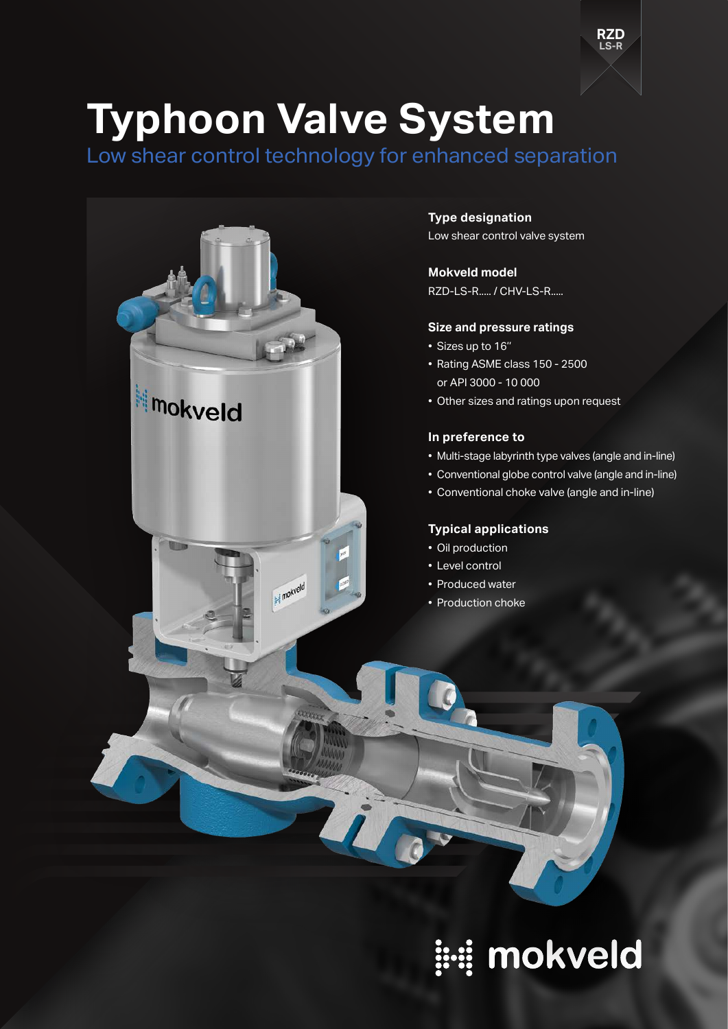# **Typhoon Valve System**

Low shear control technology for enhanced separation



**Type designation** Low shear control valve system

**Mokveld model**

RZD-LS-R..... / CHV-LS-R.....

#### **Size and pressure ratings**

- Sizes up to 16''
- Rating ASME class 150 2500 or API 3000 - 10 000
- Other sizes and ratings upon request

## **In preference to**

• Multi-stage labyrinth type valves (angle and in-line)

**LS-R RZD**

- Conventional globe control valve (angle and in-line)
- Conventional choke valve (angle and in-line)

#### **Typical applications**

- Oil production
- Level control
- Produced water
- Production choke